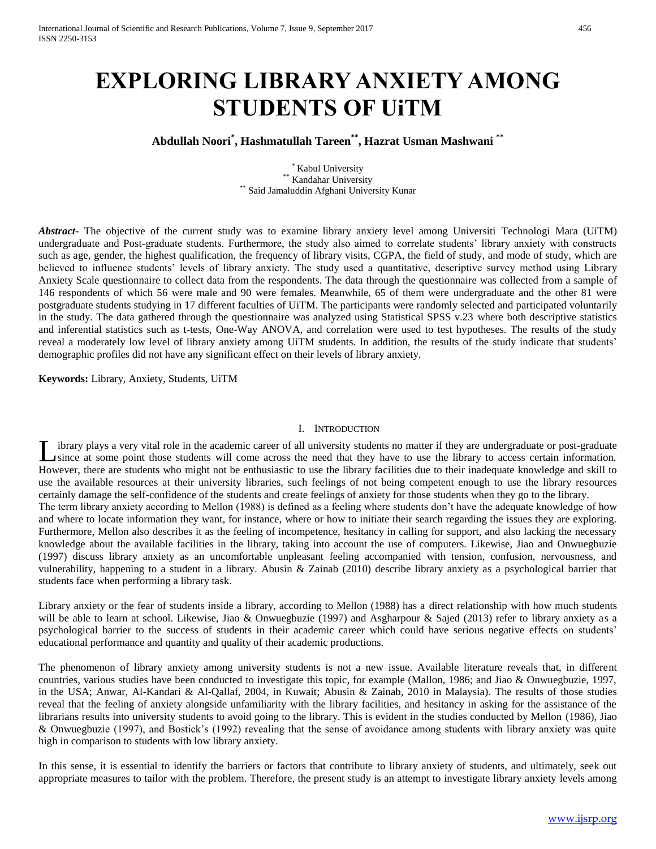# **EXPLORING LIBRARY ANXIETY AMONG STUDENTS OF UiTM**

## **Abdullah Noori\* , Hashmatullah Tareen\*\* , Hazrat Usman Mashwani \*\***

\* Kabul University \*\* Kandahar University Said Jamaluddin Afghani University Kunar

*Abstract***-** The objective of the current study was to examine library anxiety level among Universiti Technologi Mara (UiTM) undergraduate and Post-graduate students. Furthermore, the study also aimed to correlate students' library anxiety with constructs such as age, gender, the highest qualification, the frequency of library visits, CGPA, the field of study, and mode of study, which are believed to influence students' levels of library anxiety. The study used a quantitative, descriptive survey method using Library Anxiety Scale questionnaire to collect data from the respondents. The data through the questionnaire was collected from a sample of 146 respondents of which 56 were male and 90 were females. Meanwhile, 65 of them were undergraduate and the other 81 were postgraduate students studying in 17 different faculties of UiTM. The participants were randomly selected and participated voluntarily in the study. The data gathered through the questionnaire was analyzed using Statistical SPSS v.23 where both descriptive statistics and inferential statistics such as t-tests, One-Way ANOVA, and correlation were used to test hypotheses. The results of the study reveal a moderately low level of library anxiety among UiTM students. In addition, the results of the study indicate that students' demographic profiles did not have any significant effect on their levels of library anxiety.

**Keywords:** Library, Anxiety, Students, UiTM

#### I. INTRODUCTION

ibrary plays a very vital role in the academic career of all university students no matter if they are undergraduate or post-graduate since at some point those students will come across the need that they have to use the library to access certain information. However, there are students who might not be enthusiastic to use the library facilities due to their inadequate knowledge and skill to use the available resources at their university libraries, such feelings of not being competent enough to use the library resources certainly damage the self-confidence of the students and create feelings of anxiety for those students when they go to the library. The term library anxiety according to Mellon (1988) is defined as a feeling where students don't have the adequate knowledge of how and where to locate information they want, for instance, where or how to initiate their search regarding the issues they are exploring. Furthermore, Mellon also describes it as the feeling of incompetence, hesitancy in calling for support, and also lacking the necessary knowledge about the available facilities in the library, taking into account the use of computers. Likewise, Jiao and Onwuegbuzie (1997) discuss library anxiety as an uncomfortable unpleasant feeling accompanied with tension, confusion, nervousness, and vulnerability, happening to a student in a library. Abusin & Zainab (2010) describe library anxiety as a psychological barrier that students face when performing a library task.  $\overline{\mathsf{L}}$ 

Library anxiety or the fear of students inside a library, according to Mellon (1988) has a direct relationship with how much students will be able to learn at school. Likewise, Jiao & Onwuegbuzie (1997) and Asgharpour & Sajed (2013) refer to library anxiety as a psychological barrier to the success of students in their academic career which could have serious negative effects on students' educational performance and quantity and quality of their academic productions.

The phenomenon of library anxiety among university students is not a new issue. Available literature reveals that, in different countries, various studies have been conducted to investigate this topic, for example (Mallon, 1986; and Jiao & Onwuegbuzie, 1997, in the USA; Anwar, Al-Kandari & Al-Qallaf, 2004, in Kuwait; Abusin & Zainab, 2010 in Malaysia). The results of those studies reveal that the feeling of anxiety alongside unfamiliarity with the library facilities, and hesitancy in asking for the assistance of the librarians results into university students to avoid going to the library. This is evident in the studies conducted by Mellon (1986), Jiao & Onwuegbuzie (1997), and Bostick's (1992) revealing that the sense of avoidance among students with library anxiety was quite high in comparison to students with low library anxiety.

In this sense, it is essential to identify the barriers or factors that contribute to library anxiety of students, and ultimately, seek out appropriate measures to tailor with the problem. Therefore, the present study is an attempt to investigate library anxiety levels among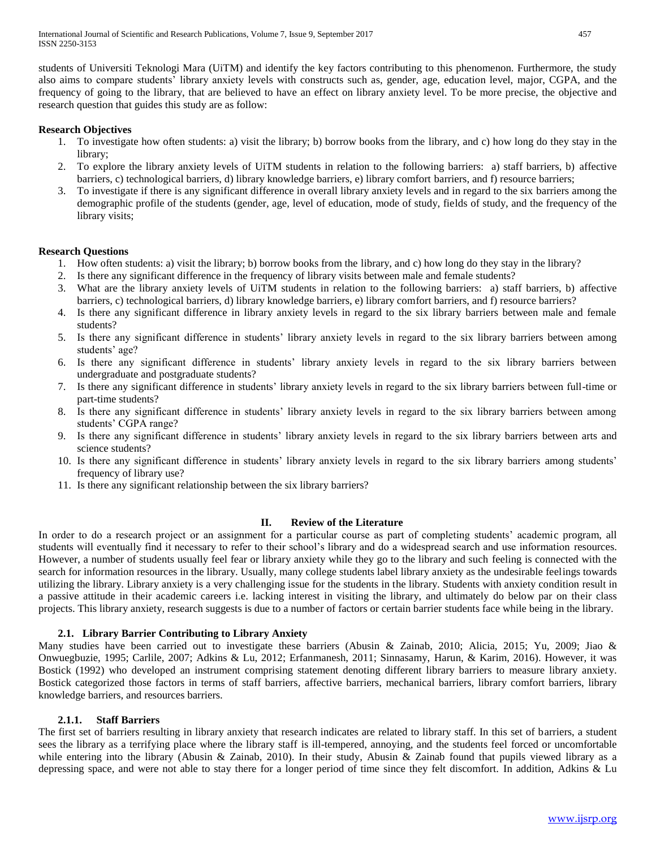students of Universiti Teknologi Mara (UiTM) and identify the key factors contributing to this phenomenon. Furthermore, the study also aims to compare students' library anxiety levels with constructs such as, gender, age, education level, major, CGPA, and the frequency of going to the library, that are believed to have an effect on library anxiety level. To be more precise, the objective and research question that guides this study are as follow:

#### **Research Objectives**

- 1. To investigate how often students: a) visit the library; b) borrow books from the library, and c) how long do they stay in the library;
- 2. To explore the library anxiety levels of UiTM students in relation to the following barriers: a) staff barriers, b) affective barriers, c) technological barriers, d) library knowledge barriers, e) library comfort barriers, and f) resource barriers;
- 3. To investigate if there is any significant difference in overall library anxiety levels and in regard to the six barriers among the demographic profile of the students (gender, age, level of education, mode of study, fields of study, and the frequency of the library visits;

#### **Research Questions**

- 1. How often students: a) visit the library; b) borrow books from the library, and c) how long do they stay in the library?
- 2. Is there any significant difference in the frequency of library visits between male and female students?
- 3. What are the library anxiety levels of UiTM students in relation to the following barriers: a) staff barriers, b) affective barriers, c) technological barriers, d) library knowledge barriers, e) library comfort barriers, and f) resource barriers?
- 4. Is there any significant difference in library anxiety levels in regard to the six library barriers between male and female students?
- 5. Is there any significant difference in students' library anxiety levels in regard to the six library barriers between among students' age?
- 6. Is there any significant difference in students' library anxiety levels in regard to the six library barriers between undergraduate and postgraduate students?
- 7. Is there any significant difference in students' library anxiety levels in regard to the six library barriers between full-time or part-time students?
- 8. Is there any significant difference in students' library anxiety levels in regard to the six library barriers between among students' CGPA range?
- 9. Is there any significant difference in students' library anxiety levels in regard to the six library barriers between arts and science students?
- 10. Is there any significant difference in students' library anxiety levels in regard to the six library barriers among students' frequency of library use?
- 11. Is there any significant relationship between the six library barriers?

## **II. Review of the Literature**

In order to do a research project or an assignment for a particular course as part of completing students' academic program, all students will eventually find it necessary to refer to their school's library and do a widespread search and use information resources. However, a number of students usually feel fear or library anxiety while they go to the library and such feeling is connected with the search for information resources in the library. Usually, many college students label library anxiety as the undesirable feelings towards utilizing the library. Library anxiety is a very challenging issue for the students in the library. Students with anxiety condition result in a passive attitude in their academic careers i.e. lacking interest in visiting the library, and ultimately do below par on their class projects. This library anxiety, research suggests is due to a number of factors or certain barrier students face while being in the library.

#### **2.1. Library Barrier Contributing to Library Anxiety**

Many studies have been carried out to investigate these barriers (Abusin & Zainab, 2010; Alicia, 2015; Yu, 2009; Jiao & Onwuegbuzie, 1995; Carlile, 2007; Adkins & Lu, 2012; Erfanmanesh, 2011; Sinnasamy, Harun, & Karim, 2016). However, it was Bostick (1992) who developed an instrument comprising statement denoting different library barriers to measure library anxiety. Bostick categorized those factors in terms of staff barriers, affective barriers, mechanical barriers, library comfort barriers, library knowledge barriers, and resources barriers.

#### **2.1.1. Staff Barriers**

The first set of barriers resulting in library anxiety that research indicates are related to library staff. In this set of barriers, a student sees the library as a terrifying place where the library staff is ill-tempered, annoying, and the students feel forced or uncomfortable while entering into the library (Abusin & Zainab, 2010). In their study, Abusin & Zainab found that pupils viewed library as a depressing space, and were not able to stay there for a longer period of time since they felt discomfort. In addition, Adkins & Lu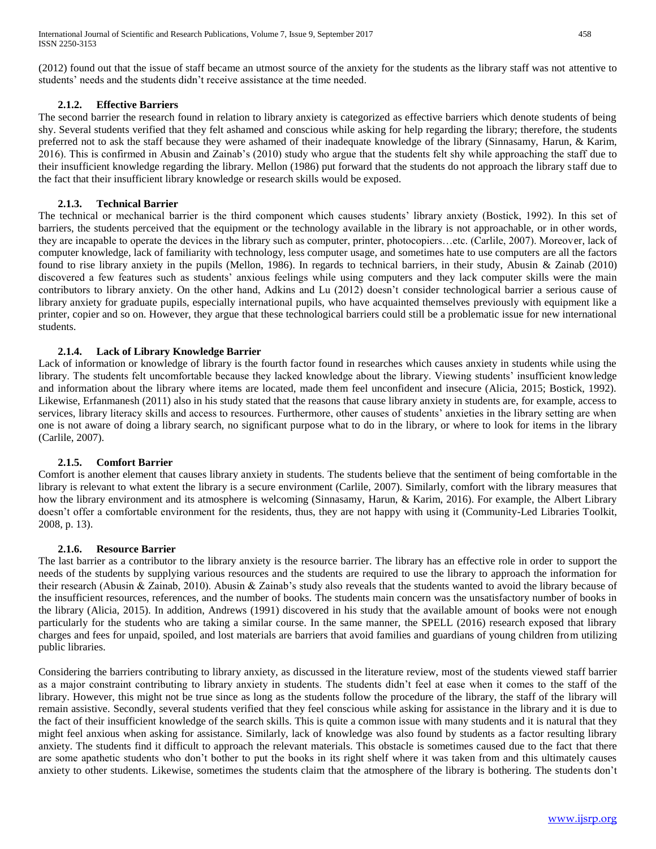(2012) found out that the issue of staff became an utmost source of the anxiety for the students as the library staff was not attentive to students' needs and the students didn't receive assistance at the time needed.

#### **2.1.2. Effective Barriers**

The second barrier the research found in relation to library anxiety is categorized as effective barriers which denote students of being shy. Several students verified that they felt ashamed and conscious while asking for help regarding the library; therefore, the students preferred not to ask the staff because they were ashamed of their inadequate knowledge of the library (Sinnasamy, Harun, & Karim, 2016). This is confirmed in Abusin and Zainab's (2010) study who argue that the students felt shy while approaching the staff due to their insufficient knowledge regarding the library. Mellon (1986) put forward that the students do not approach the library staff due to the fact that their insufficient library knowledge or research skills would be exposed.

#### **2.1.3. Technical Barrier**

The technical or mechanical barrier is the third component which causes students' library anxiety (Bostick, 1992). In this set of barriers, the students perceived that the equipment or the technology available in the library is not approachable, or in other words, they are incapable to operate the devices in the library such as computer, printer, photocopiers…etc. (Carlile, 2007). Moreover, lack of computer knowledge, lack of familiarity with technology, less computer usage, and sometimes hate to use computers are all the factors found to rise library anxiety in the pupils (Mellon, 1986). In regards to technical barriers, in their study, Abusin & Zainab (2010) discovered a few features such as students' anxious feelings while using computers and they lack computer skills were the main contributors to library anxiety. On the other hand, Adkins and Lu (2012) doesn't consider technological barrier a serious cause of library anxiety for graduate pupils, especially international pupils, who have acquainted themselves previously with equipment like a printer, copier and so on. However, they argue that these technological barriers could still be a problematic issue for new international students.

#### **2.1.4. Lack of Library Knowledge Barrier**

Lack of information or knowledge of library is the fourth factor found in researches which causes anxiety in students while using the library. The students felt uncomfortable because they lacked knowledge about the library. Viewing students' insufficient knowledge and information about the library where items are located, made them feel unconfident and insecure (Alicia, 2015; Bostick, 1992). Likewise, Erfanmanesh (2011) also in his study stated that the reasons that cause library anxiety in students are, for example, access to services, library literacy skills and access to resources. Furthermore, other causes of students' anxieties in the library setting are when one is not aware of doing a library search, no significant purpose what to do in the library, or where to look for items in the library (Carlile, 2007).

#### **2.1.5. Comfort Barrier**

Comfort is another element that causes library anxiety in students. The students believe that the sentiment of being comfortable in the library is relevant to what extent the library is a secure environment (Carlile, 2007). Similarly, comfort with the library measures that how the library environment and its atmosphere is welcoming (Sinnasamy, Harun, & Karim, 2016). For example, the Albert Library doesn't offer a comfortable environment for the residents, thus, they are not happy with using it (Community-Led Libraries Toolkit, 2008, p. 13).

#### **2.1.6. Resource Barrier**

The last barrier as a contributor to the library anxiety is the resource barrier. The library has an effective role in order to support the needs of the students by supplying various resources and the students are required to use the library to approach the information for their research (Abusin & Zainab, 2010). Abusin & Zainab's study also reveals that the students wanted to avoid the library because of the insufficient resources, references, and the number of books. The students main concern was the unsatisfactory number of books in the library (Alicia, 2015). In addition, Andrews (1991) discovered in his study that the available amount of books were not enough particularly for the students who are taking a similar course. In the same manner, the SPELL (2016) research exposed that library charges and fees for unpaid, spoiled, and lost materials are barriers that avoid families and guardians of young children from utilizing public libraries.

Considering the barriers contributing to library anxiety, as discussed in the literature review, most of the students viewed staff barrier as a major constraint contributing to library anxiety in students. The students didn't feel at ease when it comes to the staff of the library. However, this might not be true since as long as the students follow the procedure of the library, the staff of the library will remain assistive. Secondly, several students verified that they feel conscious while asking for assistance in the library and it is due to the fact of their insufficient knowledge of the search skills. This is quite a common issue with many students and it is natural that they might feel anxious when asking for assistance. Similarly, lack of knowledge was also found by students as a factor resulting library anxiety. The students find it difficult to approach the relevant materials. This obstacle is sometimes caused due to the fact that there are some apathetic students who don't bother to put the books in its right shelf where it was taken from and this ultimately causes anxiety to other students. Likewise, sometimes the students claim that the atmosphere of the library is bothering. The students don't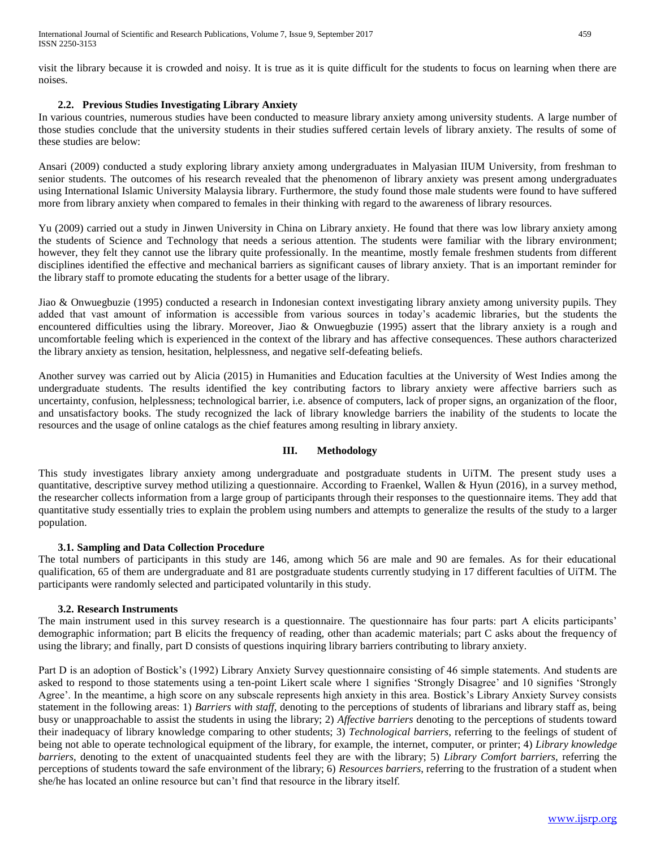visit the library because it is crowded and noisy. It is true as it is quite difficult for the students to focus on learning when there are noises.

## **2.2. Previous Studies Investigating Library Anxiety**

In various countries, numerous studies have been conducted to measure library anxiety among university students. A large number of those studies conclude that the university students in their studies suffered certain levels of library anxiety. The results of some of these studies are below:

Ansari (2009) conducted a study exploring library anxiety among undergraduates in Malyasian IIUM University, from freshman to senior students. The outcomes of his research revealed that the phenomenon of library anxiety was present among undergraduates using International Islamic University Malaysia library. Furthermore, the study found those male students were found to have suffered more from library anxiety when compared to females in their thinking with regard to the awareness of library resources.

Yu (2009) carried out a study in Jinwen University in China on Library anxiety. He found that there was low library anxiety among the students of Science and Technology that needs a serious attention. The students were familiar with the library environment; however, they felt they cannot use the library quite professionally. In the meantime, mostly female freshmen students from different disciplines identified the effective and mechanical barriers as significant causes of library anxiety. That is an important reminder for the library staff to promote educating the students for a better usage of the library.

Jiao & Onwuegbuzie (1995) conducted a research in Indonesian context investigating library anxiety among university pupils. They added that vast amount of information is accessible from various sources in today's academic libraries, but the students the encountered difficulties using the library. Moreover, Jiao & Onwuegbuzie (1995) assert that the library anxiety is a rough and uncomfortable feeling which is experienced in the context of the library and has affective consequences. These authors characterized the library anxiety as tension, hesitation, helplessness, and negative self-defeating beliefs.

Another survey was carried out by Alicia (2015) in Humanities and Education faculties at the University of West Indies among the undergraduate students. The results identified the key contributing factors to library anxiety were affective barriers such as uncertainty, confusion, helplessness; technological barrier, i.e. absence of computers, lack of proper signs, an organization of the floor, and unsatisfactory books. The study recognized the lack of library knowledge barriers the inability of the students to locate the resources and the usage of online catalogs as the chief features among resulting in library anxiety.

## **III. Methodology**

This study investigates library anxiety among undergraduate and postgraduate students in UiTM. The present study uses a quantitative, descriptive survey method utilizing a questionnaire. According to Fraenkel, Wallen & Hyun (2016), in a survey method, the researcher collects information from a large group of participants through their responses to the questionnaire items. They add that quantitative study essentially tries to explain the problem using numbers and attempts to generalize the results of the study to a larger population.

## **3.1. Sampling and Data Collection Procedure**

The total numbers of participants in this study are 146, among which 56 are male and 90 are females. As for their educational qualification, 65 of them are undergraduate and 81 are postgraduate students currently studying in 17 different faculties of UiTM. The participants were randomly selected and participated voluntarily in this study.

#### **3.2. Research Instruments**

The main instrument used in this survey research is a questionnaire. The questionnaire has four parts: part A elicits participants' demographic information; part B elicits the frequency of reading, other than academic materials; part C asks about the frequency of using the library; and finally, part D consists of questions inquiring library barriers contributing to library anxiety.

Part D is an adoption of Bostick's (1992) Library Anxiety Survey questionnaire consisting of 46 simple statements. And students are asked to respond to those statements using a ten-point Likert scale where 1 signifies 'Strongly Disagree' and 10 signifies 'Strongly Agree'. In the meantime, a high score on any subscale represents high anxiety in this area. Bostick's Library Anxiety Survey consists statement in the following areas: 1) *Barriers with staff*, denoting to the perceptions of students of librarians and library staff as, being busy or unapproachable to assist the students in using the library; 2) *Affective barriers* denoting to the perceptions of students toward their inadequacy of library knowledge comparing to other students; 3) *Technological barriers*, referring to the feelings of student of being not able to operate technological equipment of the library, for example, the internet, computer, or printer; 4) *Library knowledge barriers*, denoting to the extent of unacquainted students feel they are with the library; 5) *Library Comfort barriers*, referring the perceptions of students toward the safe environment of the library; 6) *Resources barriers*, referring to the frustration of a student when she/he has located an online resource but can't find that resource in the library itself.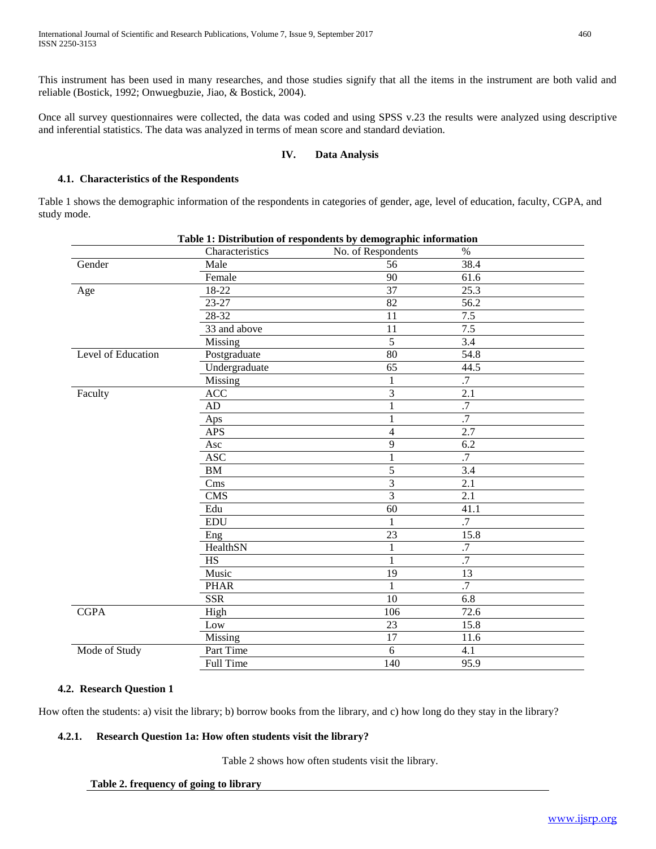This instrument has been used in many researches, and those studies signify that all the items in the instrument are both valid and reliable (Bostick, 1992; Onwuegbuzie, Jiao, & Bostick, 2004).

Once all survey questionnaires were collected, the data was coded and using SPSS v.23 the results were analyzed using descriptive and inferential statistics. The data was analyzed in terms of mean score and standard deviation.

#### **IV. Data Analysis**

#### **4.1. Characteristics of the Respondents**

Table 1 shows the demographic information of the respondents in categories of gender, age, level of education, faculty, CGPA, and study mode.

| Table 1: Distribution of respondents by demographic information |                  |                    |                  |  |
|-----------------------------------------------------------------|------------------|--------------------|------------------|--|
|                                                                 | Characteristics  | No. of Respondents | $\%$             |  |
| Gender                                                          | Male             | 56                 | 38.4             |  |
|                                                                 | Female           | 90                 | 61.6             |  |
| Age                                                             | 18-22            | $\overline{37}$    | 25.3             |  |
|                                                                 | 23-27            | 82                 | 56.2             |  |
|                                                                 | 28-32            | 11                 | 7.5              |  |
|                                                                 | 33 and above     | 11                 | 7.5              |  |
|                                                                 | Missing          | $\overline{5}$     | 3.4              |  |
| Level of Education                                              | Postgraduate     | 80                 | 54.8             |  |
|                                                                 | Undergraduate    | 65                 | 44.5             |  |
|                                                                 | Missing          | $\mathbf{1}$       | $\cdot$ 7        |  |
| Faculty                                                         | <b>ACC</b>       | 3                  | 2.1              |  |
|                                                                 | AD               | $\mathbf{1}$       | .7               |  |
|                                                                 | Aps              | $\mathbf{1}$       | $\overline{.7}$  |  |
|                                                                 | <b>APS</b>       | 4                  | 2.7              |  |
|                                                                 | Asc              | 9                  | 6.2              |  |
|                                                                 | <b>ASC</b>       | 1                  | .7               |  |
|                                                                 | BM               | 5                  | $\overline{3.4}$ |  |
|                                                                 | Cms              | $\overline{3}$     | 2.1              |  |
|                                                                 | <b>CMS</b>       | 3                  | 2.1              |  |
|                                                                 | Edu              | 60                 | 41.1             |  |
|                                                                 | <b>EDU</b>       | 1                  | .7               |  |
|                                                                 | Eng              | 23                 | 15.8             |  |
|                                                                 | HealthSN         | 1                  | $\cdot$ 7        |  |
|                                                                 | <b>HS</b>        | $\mathbf{1}$       | $\overline{.7}$  |  |
|                                                                 | Music            | 19                 | 13               |  |
|                                                                 | <b>PHAR</b>      | $\mathbf{1}$       | .7               |  |
|                                                                 | <b>SSR</b>       | 10                 | 6.8              |  |
| <b>CGPA</b>                                                     | High             | 106                | 72.6             |  |
|                                                                 | Low              | 23                 | 15.8             |  |
|                                                                 | Missing          | $\overline{17}$    | 11.6             |  |
| Mode of Study                                                   | Part Time        | 6                  | 4.1              |  |
|                                                                 | <b>Full Time</b> | 140                | 95.9             |  |

#### **4.2. Research Question 1**

How often the students: a) visit the library; b) borrow books from the library, and c) how long do they stay in the library?

## **4.2.1. Research Question 1a: How often students visit the library?**

Table 2 shows how often students visit the library.

```
Table 2. frequency of going to library
```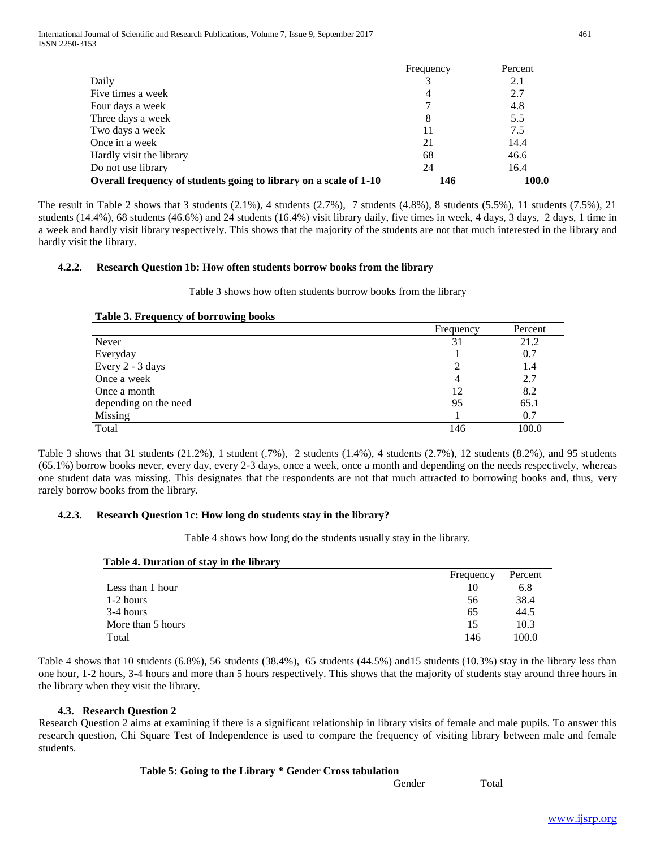International Journal of Scientific and Research Publications, Volume 7, Issue 9, September 2017 461 ISSN 2250-3153

|                                                                   | Frequency | Percent |
|-------------------------------------------------------------------|-----------|---------|
| Daily                                                             |           | 2.1     |
| Five times a week                                                 | 4         | 2.7     |
| Four days a week                                                  |           | 4.8     |
| Three days a week                                                 | 8         | 5.5     |
| Two days a week                                                   |           | 7.5     |
| Once in a week                                                    | 21        | 14.4    |
| Hardly visit the library                                          | 68        | 46.6    |
| Do not use library                                                | 24        | 16.4    |
| Overall frequency of students going to library on a scale of 1-10 | 146       | 100.0   |

The result in Table 2 shows that 3 students (2.1%), 4 students (2.7%), 7 students (4.8%), 8 students (5.5%), 11 students (7.5%), 21 students (14.4%), 68 students (46.6%) and 24 students (16.4%) visit library daily, five times in week, 4 days, 3 days, 2 days, 1 time in a week and hardly visit library respectively. This shows that the majority of the students are not that much interested in the library and hardly visit the library.

#### **4.2.2. Research Question 1b: How often students borrow books from the library**

Table 3 shows how often students borrow books from the library

#### **Table 3. Frequency of borrowing books**

|                       | Frequency | Percent |
|-----------------------|-----------|---------|
| Never                 | 31        | 21.2    |
| Everyday              |           | 0.7     |
| Every 2 - 3 days      |           | 1.4     |
| Once a week           | 4         | 2.7     |
| Once a month          | 12        | 8.2     |
| depending on the need | 95        | 65.1    |
| Missing               |           | 0.7     |
| Total                 | 146       | 100.0   |

Table 3 shows that 31 students (21.2%), 1 student (.7%), 2 students (1.4%), 4 students (2.7%), 12 students (8.2%), and 95 students (65.1%) borrow books never, every day, every 2-3 days, once a week, once a month and depending on the needs respectively, whereas one student data was missing. This designates that the respondents are not that much attracted to borrowing books and, thus, very rarely borrow books from the library.

#### **4.2.3. Research Question 1c: How long do students stay in the library?**

Table 4 shows how long do the students usually stay in the library.

#### **Table 4. Duration of stay in the library**

|                   | Frequency | Percent |
|-------------------|-----------|---------|
| Less than 1 hour  | 10        | 6.8     |
| 1-2 hours         | 56        | 38.4    |
| 3-4 hours         | 65        | 44.5    |
| More than 5 hours | 15        | 10.3    |
| Total             | 146       | 100.0   |

Table 4 shows that 10 students (6.8%), 56 students (38.4%), 65 students (44.5%) and15 students (10.3%) stay in the library less than one hour, 1-2 hours, 3-4 hours and more than 5 hours respectively. This shows that the majority of students stay around three hours in the library when they visit the library.

#### **4.3. Research Question 2**

Research Question 2 aims at examining if there is a significant relationship in library visits of female and male pupils. To answer this research question, Chi Square Test of Independence is used to compare the frequency of visiting library between male and female students.

#### **Table 5: Going to the Library \* Gender Cross tabulation**

Gender Total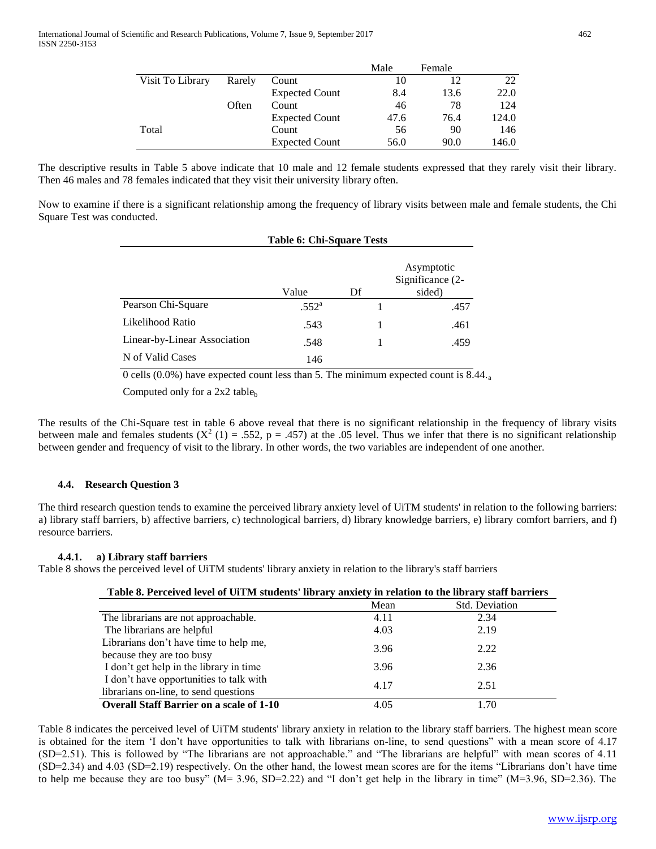|                  |        |                       | Male | Female |       |
|------------------|--------|-----------------------|------|--------|-------|
| Visit To Library | Rarely | Count                 | 10   | 12     | 22    |
|                  |        | <b>Expected Count</b> | 8.4  | 13.6   | 22.0  |
|                  | Often  | Count                 | 46   | 78     | 124   |
|                  |        | <b>Expected Count</b> | 47.6 | 76.4   | 124.0 |
| Total            |        | Count                 | 56   | 90     | 146   |
|                  |        | <b>Expected Count</b> | 56.0 | 90.0   | 146.0 |

The descriptive results in Table 5 above indicate that 10 male and 12 female students expressed that they rarely visit their library. Then 46 males and 78 females indicated that they visit their university library often.

Now to examine if there is a significant relationship among the frequency of library visits between male and female students, the Chi Square Test was conducted.

|                              | <b>Table 6: Chi-Square Tests</b> |    |                                          |  |  |
|------------------------------|----------------------------------|----|------------------------------------------|--|--|
|                              | Value                            | Df | Asymptotic<br>Significance (2-<br>sided) |  |  |
| Pearson Chi-Square           | $.552^{\rm a}$                   |    | .457                                     |  |  |
| Likelihood Ratio             | .543                             |    | .461                                     |  |  |
| Linear-by-Linear Association | .548                             |    | .459                                     |  |  |
| N of Valid Cases             | 146                              |    |                                          |  |  |

0 cells (0.0%) have expected count less than 5. The minimum expected count is  $\overline{8.44}$ .

Computed only for a  $2x2$  table<sub>b</sub>

The results of the Chi-Square test in table 6 above reveal that there is no significant relationship in the frequency of library visits between male and females students  $(X^2 (1) = .552, p = .457)$  at the .05 level. Thus we infer that there is no significant relationship between gender and frequency of visit to the library. In other words, the two variables are independent of one another.

## **4.4. Research Question 3**

The third research question tends to examine the perceived library anxiety level of UiTM students' in relation to the following barriers: a) library staff barriers, b) affective barriers, c) technological barriers, d) library knowledge barriers, e) library comfort barriers, and f) resource barriers.

#### **4.4.1. a) Library staff barriers**

Table 8 shows the perceived level of UiTM students' library anxiety in relation to the library's staff barriers

|  |  | Table 8. Perceived level of UiTM students' library anxiety in relation to the library staff barriers |  |
|--|--|------------------------------------------------------------------------------------------------------|--|
|  |  |                                                                                                      |  |

|                                                 | Mean | Std. Deviation |
|-------------------------------------------------|------|----------------|
| The librarians are not approachable.            | 4.11 | 2.34           |
| The librarians are helpful                      | 4.03 | 2.19           |
| Librarians don't have time to help me,          | 3.96 | 2.22           |
| because they are too busy                       |      |                |
| I don't get help in the library in time         | 3.96 | 2.36           |
| I don't have opportunities to talk with         | 4.17 |                |
| librarians on-line, to send questions           |      | 2.51           |
| <b>Overall Staff Barrier on a scale of 1-10</b> | 4.05 | 1.70           |

Table 8 indicates the perceived level of UiTM students' library anxiety in relation to the library staff barriers. The highest mean score is obtained for the item 'I don't have opportunities to talk with librarians on-line, to send questions" with a mean score of 4.17 (SD=2.51). This is followed by "The librarians are not approachable." and "The librarians are helpful" with mean scores of 4.11 (SD=2.34) and 4.03 (SD=2.19) respectively. On the other hand, the lowest mean scores are for the items "Librarians don't have time to help me because they are too busy" (M= 3.96, SD=2.22) and "I don't get help in the library in time" (M=3.96, SD=2.36). The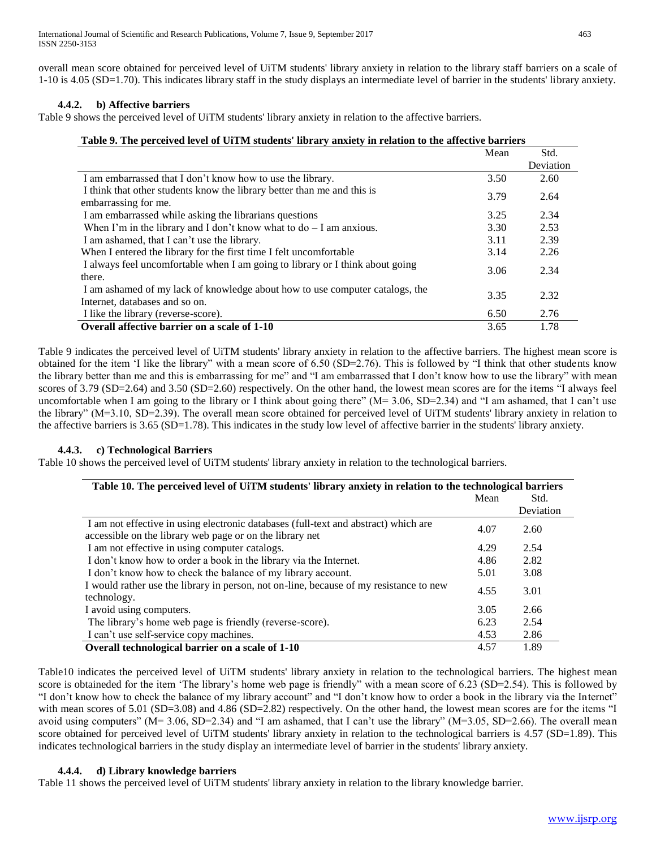overall mean score obtained for perceived level of UiTM students' library anxiety in relation to the library staff barriers on a scale of 1-10 is 4.05 (SD=1.70). This indicates library staff in the study displays an intermediate level of barrier in the students' library anxiety.

#### **4.4.2. b) Affective barriers**

Table 9 shows the perceived level of UiTM students' library anxiety in relation to the affective barriers.

|  | Table 9. The perceived level of UiTM students' library anxiety in relation to the affective barriers |
|--|------------------------------------------------------------------------------------------------------|
|  |                                                                                                      |

|                                                                                                 | Mean | Std.      |
|-------------------------------------------------------------------------------------------------|------|-----------|
|                                                                                                 |      | Deviation |
| I am embarrassed that I don't know how to use the library.                                      | 3.50 | 2.60      |
| I think that other students know the library better than me and this is<br>embarrassing for me. | 3.79 | 2.64      |
|                                                                                                 |      |           |
| I am embarrassed while asking the librarians questions                                          | 3.25 | 2.34      |
| When I'm in the library and I don't know what to $do - I$ am anxious.                           | 3.30 | 2.53      |
| I am ashamed, that I can't use the library.                                                     | 3.11 | 2.39      |
| When I entered the library for the first time I felt uncomfortable                              | 3.14 | 2.26      |
| I always feel uncomfortable when I am going to library or I think about going<br>there.         | 3.06 | 2.34      |
|                                                                                                 |      |           |
| I am ashamed of my lack of knowledge about how to use computer catalogs, the                    | 3.35 | 2.32      |
| Internet, databases and so on.                                                                  |      |           |
| I like the library (reverse-score).                                                             | 6.50 | 2.76      |
| Overall affective barrier on a scale of 1-10                                                    | 3.65 | 1.78      |

Table 9 indicates the perceived level of UiTM students' library anxiety in relation to the affective barriers. The highest mean score is obtained for the item 'I like the library" with a mean score of 6.50 (SD=2.76). This is followed by "I think that other students know the library better than me and this is embarrassing for me" and "I am embarrassed that I don't know how to use the library" with mean scores of 3.79 (SD=2.64) and 3.50 (SD=2.60) respectively. On the other hand, the lowest mean scores are for the items "I always feel uncomfortable when I am going to the library or I think about going there" ( $M = 3.06$ , SD=2.34) and "I am ashamed, that I can't use the library" (M=3.10, SD=2.39). The overall mean score obtained for perceived level of UiTM students' library anxiety in relation to the affective barriers is 3.65 (SD=1.78). This indicates in the study low level of affective barrier in the students' library anxiety.

## **4.4.3. c) Technological Barriers**

Table 10 shows the perceived level of UiTM students' library anxiety in relation to the technological barriers.

| Table 10. The perceived level of UiTM students' library anxiety in relation to the technological barriers                                       |      |           |
|-------------------------------------------------------------------------------------------------------------------------------------------------|------|-----------|
|                                                                                                                                                 | Mean | Std.      |
|                                                                                                                                                 |      | Deviation |
| I am not effective in using electronic databases (full-text and abstract) which are<br>accessible on the library web page or on the library net | 4.07 | 2.60      |
| I am not effective in using computer catalogs.                                                                                                  | 4.29 | 2.54      |
| I don't know how to order a book in the library via the Internet.                                                                               | 4.86 | 2.82      |
| I don't know how to check the balance of my library account.                                                                                    | 5.01 | 3.08      |
| I would rather use the library in person, not on-line, because of my resistance to new<br>technology.                                           | 4.55 | 3.01      |
| I avoid using computers.                                                                                                                        | 3.05 | 2.66      |
| The library's home web page is friendly (reverse-score).                                                                                        | 6.23 | 2.54      |
| I can't use self-service copy machines.                                                                                                         | 4.53 | 2.86      |
| Overall technological barrier on a scale of 1-10                                                                                                | 4.57 | 1.89      |

Table10 indicates the perceived level of UiTM students' library anxiety in relation to the technological barriers. The highest mean score is obtaineded for the item 'The library's home web page is friendly" with a mean score of 6.23 (SD=2.54). This is followed by "I don't know how to check the balance of my library account" and "I don't know how to order a book in the library via the Internet" with mean scores of 5.01 (SD=3.08) and 4.86 (SD=2.82) respectively. On the other hand, the lowest mean scores are for the items "I avoid using computers" ( $M = 3.06$ ,  $SD = 2.34$ ) and "I am ashamed, that I can't use the library" ( $M = 3.05$ ,  $SD = 2.66$ ). The overall mean score obtained for perceived level of UiTM students' library anxiety in relation to the technological barriers is 4.57 (SD=1.89). This indicates technological barriers in the study display an intermediate level of barrier in the students' library anxiety.

#### **4.4.4. d) Library knowledge barriers**

Table 11 shows the perceived level of UiTM students' library anxiety in relation to the library knowledge barrier.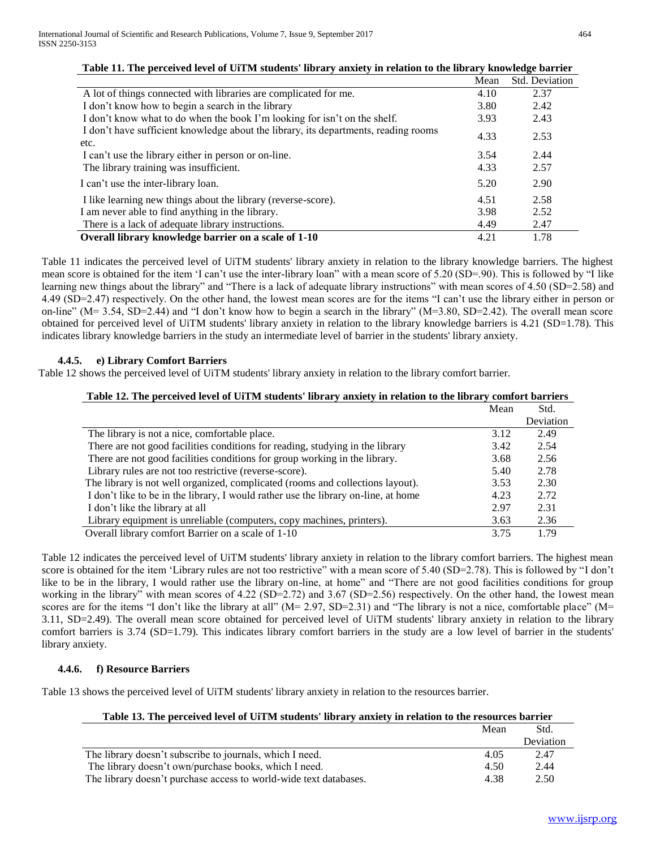|                                                                                             | Mean | <b>Std. Deviation</b> |
|---------------------------------------------------------------------------------------------|------|-----------------------|
| A lot of things connected with libraries are complicated for me.                            | 4.10 | 2.37                  |
| I don't know how to begin a search in the library                                           | 3.80 | 2.42                  |
| I don't know what to do when the book I'm looking for isn't on the shelf.                   | 3.93 | 2.43                  |
| I don't have sufficient knowledge about the library, its departments, reading rooms<br>etc. | 4.33 | 2.53                  |
| I can't use the library either in person or on-line.                                        | 3.54 | 2.44                  |
| The library training was insufficient.                                                      | 4.33 | 2.57                  |
| I can't use the inter-library loan.                                                         | 5.20 | 2.90                  |
| I like learning new things about the library (reverse-score).                               | 4.51 | 2.58                  |
| I am never able to find anything in the library.                                            | 3.98 | 2.52                  |
| There is a lack of adequate library instructions.                                           | 4.49 | 2.47                  |
| Overall library knowledge barrier on a scale of 1-10                                        | 4.21 | 1.78                  |

#### **Table 11. The perceived level of UiTM students' library anxiety in relation to the library knowledge barrier**

Table 11 indicates the perceived level of UiTM students' library anxiety in relation to the library knowledge barriers. The highest mean score is obtained for the item 'I can't use the inter-library loan" with a mean score of 5.20 (SD=.90). This is followed by "I like learning new things about the library" and "There is a lack of adequate library instructions" with mean scores of 4.50 (SD=2.58) and 4.49 (SD=2.47) respectively. On the other hand, the lowest mean scores are for the items "I can't use the library either in person or on-line" ( $M = 3.54$ , SD=2.44) and "I don't know how to begin a search in the library" ( $M = 3.80$ , SD=2.42). The overall mean score obtained for perceived level of UiTM students' library anxiety in relation to the library knowledge barriers is 4.21 (SD=1.78). This indicates library knowledge barriers in the study an intermediate level of barrier in the students' library anxiety.

#### **4.4.5. e) Library Comfort Barriers**

Table 12 shows the perceived level of UiTM students' library anxiety in relation to the library comfort barrier.

#### **Table 12. The perceived level of UiTM students' library anxiety in relation to the library comfort barriers**

|                                                                                    | Mean | Std.      |
|------------------------------------------------------------------------------------|------|-----------|
|                                                                                    |      | Deviation |
| The library is not a nice, comfortable place.                                      | 3.12 | 2.49      |
| There are not good facilities conditions for reading, studying in the library      | 3.42 | 2.54      |
| There are not good facilities conditions for group working in the library.         | 3.68 | 2.56      |
| Library rules are not too restrictive (reverse-score).                             | 5.40 | 2.78      |
| The library is not well organized, complicated (rooms and collections layout).     | 3.53 | 2.30      |
| I don't like to be in the library, I would rather use the library on-line, at home | 4.23 | 2.72      |
| I don't like the library at all                                                    | 2.97 | 2.31      |
| Library equipment is unreliable (computers, copy machines, printers).              | 3.63 | 2.36      |
| Overall library comfort Barrier on a scale of 1-10                                 | 3.75 | 1.79      |

Table 12 indicates the perceived level of UiTM students' library anxiety in relation to the library comfort barriers. The highest mean score is obtained for the item 'Library rules are not too restrictive" with a mean score of 5.40 (SD=2.78). This is followed by "I don't like to be in the library, I would rather use the library on-line, at home" and "There are not good facilities conditions for group working in the library" with mean scores of 4.22 (SD=2.72) and 3.67 (SD=2.56) respectively. On the other hand, the lowest mean scores are for the items "I don't like the library at all" (M= 2.97, SD=2.31) and "The library is not a nice, comfortable place" (M= 3.11, SD=2.49). The overall mean score obtained for perceived level of UiTM students' library anxiety in relation to the library comfort barriers is 3.74 (SD=1.79). This indicates library comfort barriers in the study are a low level of barrier in the students' library anxiety.

#### **4.4.6. f) Resource Barriers**

Table 13 shows the perceived level of UiTM students' library anxiety in relation to the resources barrier.

|                                                                   | Mean | Std.      |
|-------------------------------------------------------------------|------|-----------|
|                                                                   |      | Deviation |
| The library doesn't subscribe to journals, which I need.          | 4.05 | 2.47      |
| The library doesn't own/purchase books, which I need.             | 4.50 | 2.44      |
| The library doesn't purchase access to world-wide text databases. | 4.38 | 2.50      |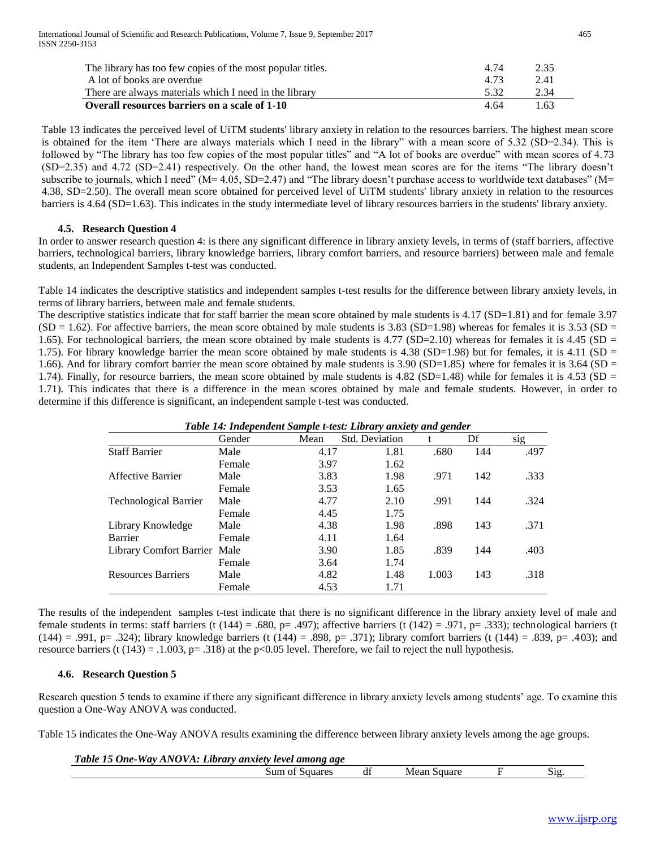| The library has too few copies of the most popular titles. | 4 74 | 2.35 |
|------------------------------------------------------------|------|------|
| A lot of books are overdue                                 | 4.73 | 2.41 |
| There are always materials which I need in the library     | 5.32 | 2.34 |
| Overall resources barriers on a scale of 1-10              | 4 64 | 1.63 |

Table 13 indicates the perceived level of UiTM students' library anxiety in relation to the resources barriers. The highest mean score is obtained for the item 'There are always materials which I need in the library" with a mean score of 5.32 (SD=2.34). This is followed by "The library has too few copies of the most popular titles" and "A lot of books are overdue" with mean scores of 4.73 (SD=2.35) and 4.72 (SD=2.41) respectively. On the other hand, the lowest mean scores are for the items "The library doesn't subscribe to journals, which I need"  $(M= 4.05, SD=2.47)$  and "The library doesn't purchase access to worldwide text databases"  $(M= 4.05, SD=2.47)$ 4.38, SD=2.50). The overall mean score obtained for perceived level of UiTM students' library anxiety in relation to the resources barriers is 4.64 (SD=1.63). This indicates in the study intermediate level of library resources barriers in the students' library anxiety.

#### **4.5. Research Question 4**

In order to answer research question 4: is there any significant difference in library anxiety levels, in terms of (staff barriers, affective barriers, technological barriers, library knowledge barriers, library comfort barriers, and resource barriers) between male and female students, an Independent Samples t-test was conducted.

Table 14 indicates the descriptive statistics and independent samples t-test results for the difference between library anxiety levels, in terms of library barriers, between male and female students.

The descriptive statistics indicate that for staff barrier the mean score obtained by male students is 4.17 (SD=1.81) and for female 3.97  $(SD = 1.62)$ . For affective barriers, the mean score obtained by male students is 3.83  $(SD=1.98)$  whereas for females it is 3.53  $(SD = 1.62)$ . 1.65). For technological barriers, the mean score obtained by male students is  $4.77$  (SD=2.10) whereas for females it is  $4.45$  (SD = 1.75). For library knowledge barrier the mean score obtained by male students is 4.38 (SD=1.98) but for females, it is 4.11 (SD = 1.66). And for library comfort barrier the mean score obtained by male students is  $3.90$  (SD=1.85) where for females it is  $3.64$  (SD = 1.74). Finally, for resource barriers, the mean score obtained by male students is  $4.82$  (SD=1.48) while for females it is  $4.53$  (SD = 1.71). This indicates that there is a difference in the mean scores obtained by male and female students. However, in order to determine if this difference is significant, an independent sample t-test was conducted.

| Table 14: Independent Sample t-test: Library anxiety and gender |        |      |                |       |     |      |  |  |  |  |
|-----------------------------------------------------------------|--------|------|----------------|-------|-----|------|--|--|--|--|
|                                                                 | Gender | Mean | Std. Deviation |       | Df  | sig  |  |  |  |  |
| <b>Staff Barrier</b>                                            | Male   | 4.17 | 1.81           | .680  | 144 | .497 |  |  |  |  |
|                                                                 | Female | 3.97 | 1.62           |       |     |      |  |  |  |  |
| Affective Barrier                                               | Male   | 3.83 | 1.98           | .971  | 142 | .333 |  |  |  |  |
|                                                                 | Female | 3.53 | 1.65           |       |     |      |  |  |  |  |
| <b>Technological Barrier</b>                                    | Male   | 4.77 | 2.10           | .991  | 144 | .324 |  |  |  |  |
|                                                                 | Female | 4.45 | 1.75           |       |     |      |  |  |  |  |
| Library Knowledge                                               | Male   | 4.38 | 1.98           | .898  | 143 | .371 |  |  |  |  |
| Barrier                                                         | Female | 4.11 | 1.64           |       |     |      |  |  |  |  |
| Library Comfort Barrier Male                                    |        | 3.90 | 1.85           | .839  | 144 | .403 |  |  |  |  |
|                                                                 | Female | 3.64 | 1.74           |       |     |      |  |  |  |  |
| <b>Resources Barriers</b>                                       | Male   | 4.82 | 1.48           | 1.003 | 143 | .318 |  |  |  |  |
|                                                                 | Female | 4.53 | 1.71           |       |     |      |  |  |  |  |

The results of the independent samples t-test indicate that there is no significant difference in the library anxiety level of male and female students in terms: staff barriers (t  $(144) = .680$ , p= .497); affective barriers (t  $(142) = .971$ , p= .333); technological barriers (t  $(144) = .991$ , p= .324); library knowledge barriers (t  $(144) = .898$ , p= .371); library comfort barriers (t  $(144) = .839$ , p= .403); and resource barriers (t  $(143) = .1.003$ , p= .318) at the p<0.05 level. Therefore, we fail to reject the null hypothesis.

#### **4.6. Research Question 5**

Research question 5 tends to examine if there any significant difference in library anxiety levels among students' age. To examine this question a One-Way ANOVA was conducted.

Table 15 indicates the One-Way ANOVA results examining the difference between library anxiety levels among the age groups.

| Table 15 One-Way ANOVA: Library anxiety level among age |                |  |             |     |
|---------------------------------------------------------|----------------|--|-------------|-----|
|                                                         | Sum of Squares |  | Mean Square | 512 |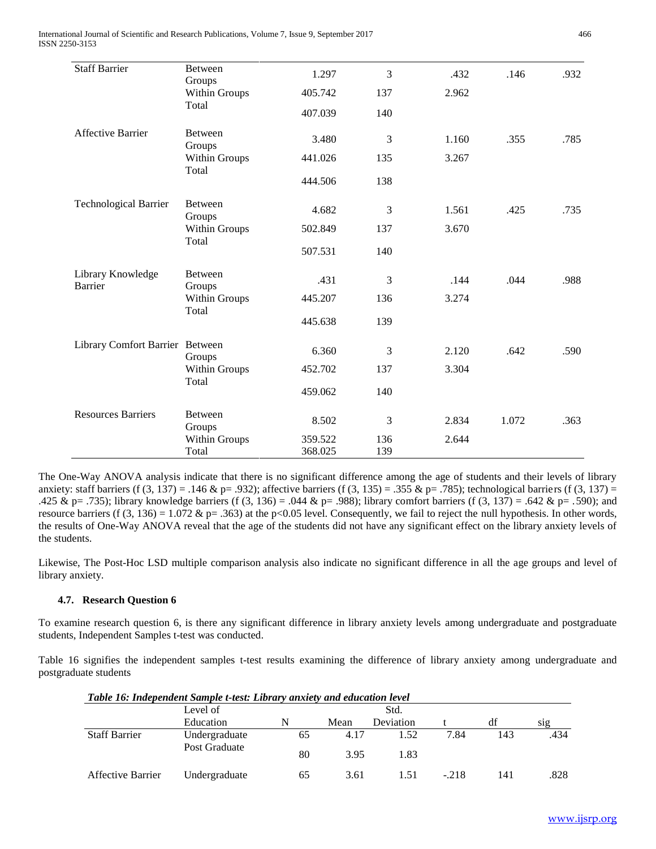International Journal of Scientific and Research Publications, Volume 7, Issue 9, September 2017 466 ISSN 2250-3153

| <b>Between</b>                              | 1.297                                                 | 3       | .432  | .146  | .932 |
|---------------------------------------------|-------------------------------------------------------|---------|-------|-------|------|
| Within Groups                               | 405.742                                               | 137     | 2.962 |       |      |
|                                             | 407.039                                               | 140     |       |       |      |
| Between<br>Groups                           | 3.480                                                 | 3       | 1.160 | .355  | .785 |
| Within Groups                               | 441.026                                               | 135     | 3.267 |       |      |
|                                             | 444.506                                               | 138     |       |       |      |
| <b>Between</b>                              | 4.682                                                 | 3       | 1.561 | .425  | .735 |
| Within Groups<br>Total                      | 502.849                                               | 137     | 3.670 |       |      |
|                                             | 507.531                                               | 140     |       |       |      |
| Between<br>Groups<br>Within Groups<br>Total | .431                                                  | 3       | .144  | .044  | .988 |
|                                             | 445.207                                               | 136     | 3.274 |       |      |
|                                             | 445.638                                               | 139     |       |       |      |
| Library Comfort Barrier Between             | 6.360                                                 | 3       | 2.120 | .642  | .590 |
| Within Groups<br>Total                      | 452.702                                               | 137     | 3.304 |       |      |
|                                             | 459.062                                               | 140     |       |       |      |
| Between<br>Groups                           | 8.502                                                 | 3       | 2.834 | 1.072 | .363 |
| Within Groups                               | 359.522                                               | 136     | 2.644 |       |      |
|                                             | Groups<br>Total<br>Total<br>Groups<br>Groups<br>Total | 368.025 | 139   |       |      |

The One-Way ANOVA analysis indicate that there is no significant difference among the age of students and their levels of library anxiety: staff barriers (f  $(3, 137) = .146$  & p= .932); affective barriers (f  $(3, 135) = .355$  & p= .785); technological barriers (f  $(3, 137) =$ .425 & p= .735); library knowledge barriers (f (3, 136) = .044 & p= .988); library comfort barriers (f (3, 137) = .642 & p= .590); and resource barriers (f  $(3, 136) = 1.072$  & p= .363) at the p<0.05 level. Consequently, we fail to reject the null hypothesis. In other words, the results of One-Way ANOVA reveal that the age of the students did not have any significant effect on the library anxiety levels of the students.

Likewise, The Post-Hoc LSD multiple comparison analysis also indicate no significant difference in all the age groups and level of library anxiety.

## **4.7. Research Question 6**

To examine research question 6, is there any significant difference in library anxiety levels among undergraduate and postgraduate students, Independent Samples t-test was conducted.

Table 16 signifies the independent samples t-test results examining the difference of library anxiety among undergraduate and postgraduate students

|                      | Table To: Inaepenaent Sample t-test: Library anxiety and eaucation level |    |      |           |        |     |      |  |  |  |
|----------------------|--------------------------------------------------------------------------|----|------|-----------|--------|-----|------|--|--|--|
|                      | Level of                                                                 |    |      | Std.      |        |     |      |  |  |  |
|                      | Education                                                                | N  | Mean | Deviation |        | df  | S12  |  |  |  |
| <b>Staff Barrier</b> | Undergraduate                                                            | 65 | 4.17 | 1.52      | 7.84   | 143 | .434 |  |  |  |
|                      | Post Graduate                                                            | 80 | 3.95 | 1.83      |        |     |      |  |  |  |
| Affective Barrier    | Undergraduate                                                            | 65 | 3.61 | 1.51      | $-218$ | 141 | .828 |  |  |  |

*Table 16: Independent Sample t-test: Library anxiety and education level*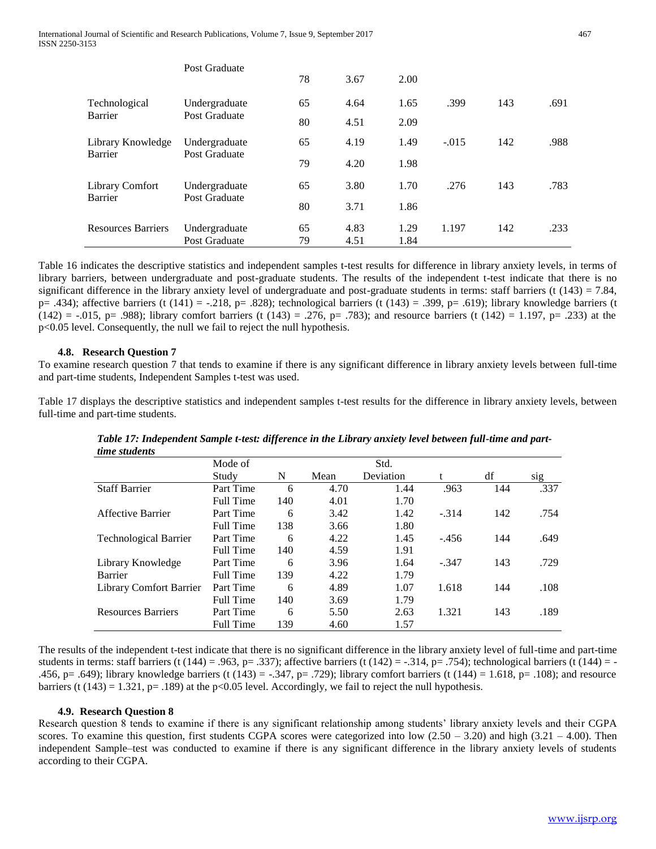|                           | Post Graduate                  |          |              |              |         |     |      |
|---------------------------|--------------------------------|----------|--------------|--------------|---------|-----|------|
|                           |                                | 78       | 3.67         | 2.00         |         |     |      |
| Technological             | Undergraduate                  | 65       | 4.64         | 1.65         | .399    | 143 | .691 |
| Barrier                   | Post Graduate                  | 80       | 4.51         | 2.09         |         |     |      |
| Library Knowledge         | Undergraduate                  | 65       | 4.19         | 1.49         | $-.015$ | 142 | .988 |
| Barrier                   | Post Graduate                  | 79       | 4.20         | 1.98         |         |     |      |
| Library Comfort           | Undergraduate                  | 65       | 3.80         | 1.70         | .276    | 143 | .783 |
| Barrier                   | Post Graduate                  | 80       | 3.71         | 1.86         |         |     |      |
| <b>Resources Barriers</b> | Undergraduate<br>Post Graduate | 65<br>79 | 4.83<br>4.51 | 1.29<br>1.84 | 1.197   | 142 | .233 |

Table 16 indicates the descriptive statistics and independent samples t-test results for difference in library anxiety levels, in terms of library barriers, between undergraduate and post-graduate students. The results of the independent t-test indicate that there is no significant difference in the library anxiety level of undergraduate and post-graduate students in terms: staff barriers (t (143) = 7.84, p= .434); affective barriers (t  $(141)$  = -.218, p= .828); technological barriers (t  $(143)$  = .399, p= .619); library knowledge barriers (t  $(142) = -0.015$ , p= .988); library comfort barriers (t (143) = .276, p= .783); and resource barriers (t (142) = 1.197, p= .233) at the p<0.05 level. Consequently, the null we fail to reject the null hypothesis.

#### **4.8. Research Question 7**

To examine research question 7 that tends to examine if there is any significant difference in library anxiety levels between full-time and part-time students, Independent Samples t-test was used.

Table 17 displays the descriptive statistics and independent samples t-test results for the difference in library anxiety levels, between full-time and part-time students.

| <i>ume suddents</i>          |                  |     |      |           |         |     |      |
|------------------------------|------------------|-----|------|-----------|---------|-----|------|
|                              | Mode of          |     |      | Std.      |         |     |      |
|                              | Study            | N   | Mean | Deviation | t       | df  | sig  |
| <b>Staff Barrier</b>         | Part Time        | 6   | 4.70 | 1.44      | .963    | 144 | .337 |
|                              | Full Time        | 140 | 4.01 | 1.70      |         |     |      |
| Affective Barrier            | Part Time        | 6   | 3.42 | 1.42      | $-.314$ | 142 | .754 |
|                              | <b>Full Time</b> | 138 | 3.66 | 1.80      |         |     |      |
| <b>Technological Barrier</b> | Part Time        | 6   | 4.22 | 1.45      | $-456$  | 144 | .649 |
|                              | Full Time        | 140 | 4.59 | 1.91      |         |     |      |
| Library Knowledge            | Part Time        | 6   | 3.96 | 1.64      | $-.347$ | 143 | .729 |
| Barrier                      | <b>Full Time</b> | 139 | 4.22 | 1.79      |         |     |      |
| Library Comfort Barrier      | Part Time        | 6   | 4.89 | 1.07      | 1.618   | 144 | .108 |
|                              | Full Time        | 140 | 3.69 | 1.79      |         |     |      |
| <b>Resources Barriers</b>    | Part Time        | 6   | 5.50 | 2.63      | 1.321   | 143 | .189 |
|                              | <b>Full Time</b> | 139 | 4.60 | 1.57      |         |     |      |

*Table 17: Independent Sample t-test: difference in the Library anxiety level between full-time and parttime students*

The results of the independent t-test indicate that there is no significant difference in the library anxiety level of full-time and part-time students in terms: staff barriers (t (144) = .963, p= .337); affective barriers (t (142) = -.314, p= .754); technological barriers (t (144) = -.456, p= .649); library knowledge barriers (t (143) = -.347, p= .729); library comfort barriers (t (144) = 1.618, p= .108); and resource barriers (t  $(143) = 1.321$ , p= .189) at the p<0.05 level. Accordingly, we fail to reject the null hypothesis.

#### **4.9. Research Question 8**

Research question 8 tends to examine if there is any significant relationship among students' library anxiety levels and their CGPA scores. To examine this question, first students CGPA scores were categorized into low  $(2.50 - 3.20)$  and high  $(3.21 - 4.00)$ . Then independent Sample–test was conducted to examine if there is any significant difference in the library anxiety levels of students according to their CGPA.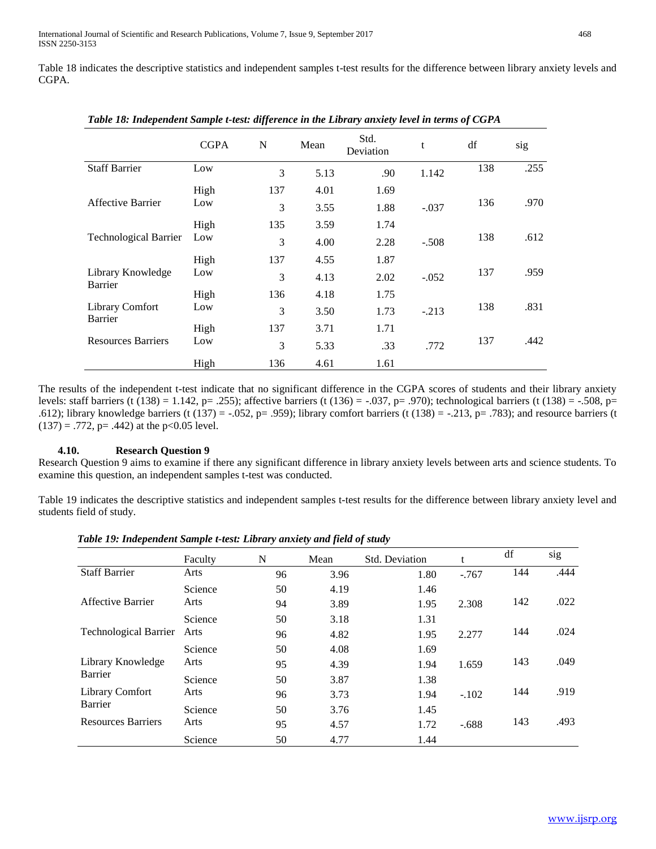Table 18 indicates the descriptive statistics and independent samples t-test results for the difference between library anxiety levels and CGPA.

|                                   | <b>CGPA</b> | N   | Mean | Std.<br>Deviation | t       | df  | sig  |
|-----------------------------------|-------------|-----|------|-------------------|---------|-----|------|
| <b>Staff Barrier</b>              | Low         | 3   | 5.13 | .90               | 1.142   | 138 | .255 |
|                                   | High        | 137 | 4.01 | 1.69              |         |     |      |
| Affective Barrier                 | Low         | 3   | 3.55 | 1.88              | $-.037$ | 136 | .970 |
|                                   | High        | 135 | 3.59 | 1.74              |         |     |      |
| <b>Technological Barrier</b>      | Low         | 3   | 4.00 | 2.28              | $-.508$ | 138 | .612 |
|                                   | High        | 137 | 4.55 | 1.87              |         |     |      |
| Library Knowledge<br>Barrier      | Low         | 3   | 4.13 | 2.02              | $-.052$ | 137 | .959 |
|                                   | High        | 136 | 4.18 | 1.75              |         |     |      |
| <b>Library Comfort</b><br>Barrier | Low         | 3   | 3.50 | 1.73              | $-.213$ | 138 | .831 |
|                                   | High        | 137 | 3.71 | 1.71              |         |     |      |
| <b>Resources Barriers</b>         | Low         | 3   | 5.33 | .33               | .772    | 137 | .442 |
|                                   | High        | 136 | 4.61 | 1.61              |         |     |      |

*Table 18: Independent Sample t-test: difference in the Library anxiety level in terms of CGPA*

The results of the independent t-test indicate that no significant difference in the CGPA scores of students and their library anxiety levels: staff barriers (t (138) = 1.142, p= .255); affective barriers (t (136) = -.037, p= .970); technological barriers (t (138) = -.508, p= .612); library knowledge barriers (t (137) = -.052, p= .959); library comfort barriers (t (138) = -.213, p= .783); and resource barriers (t  $(137) = .772$ , p= .442) at the p<0.05 level.

#### **4.10. Research Question 9**

Research Question 9 aims to examine if there any significant difference in library anxiety levels between arts and science students. To examine this question, an independent samples t-test was conducted.

Table 19 indicates the descriptive statistics and independent samples t-test results for the difference between library anxiety level and students field of study.

|                              | Faculty | N  | Mean | Std. Deviation |         | df  | sig  |
|------------------------------|---------|----|------|----------------|---------|-----|------|
| <b>Staff Barrier</b>         | Arts    | 96 | 3.96 | 1.80           | $-.767$ | 144 | .444 |
|                              | Science | 50 | 4.19 | 1.46           |         |     |      |
| Affective Barrier            | Arts    | 94 | 3.89 | 1.95           | 2.308   | 142 | .022 |
|                              | Science | 50 | 3.18 | 1.31           |         |     |      |
| <b>Technological Barrier</b> | Arts    | 96 | 4.82 | 1.95           | 2.277   | 144 | .024 |
|                              | Science | 50 | 4.08 | 1.69           |         |     |      |
| Library Knowledge            | Arts    | 95 | 4.39 | 1.94           | 1.659   | 143 | .049 |
| Barrier                      | Science | 50 | 3.87 | 1.38           |         |     |      |
| <b>Library Comfort</b>       | Arts    | 96 | 3.73 | 1.94           | $-.102$ | 144 | .919 |
| Barrier                      | Science | 50 | 3.76 | 1.45           |         |     |      |
| <b>Resources Barriers</b>    | Arts    | 95 | 4.57 | 1.72           | $-.688$ | 143 | .493 |
|                              | Science | 50 | 4.77 | 1.44           |         |     |      |

*Table 19: Independent Sample t-test: Library anxiety and field of study*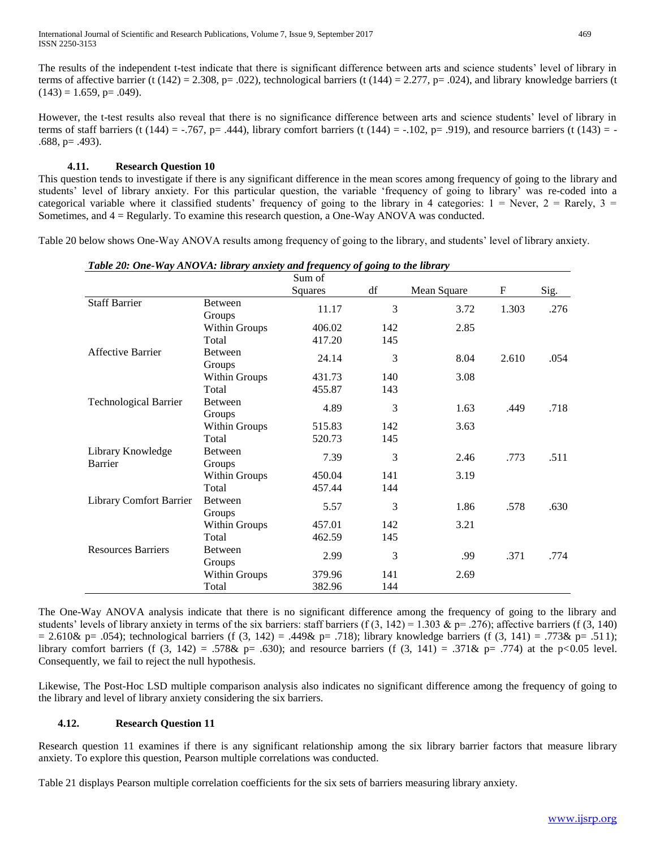The results of the independent t-test indicate that there is significant difference between arts and science students' level of library in terms of affective barrier (t  $(142) = 2.308$ , p= .022), technological barriers (t  $(144) = 2.277$ , p= .024), and library knowledge barriers (t  $(143) = 1.659$ , p= .049).

However, the t-test results also reveal that there is no significance difference between arts and science students' level of library in terms of staff barriers (t (144) = -.767, p= .444), library comfort barriers (t (144) = -.102, p= .919), and resource barriers (t (143) = - $.688$ , p=  $.493$ ).

#### **4.11. Research Question 10**

This question tends to investigate if there is any significant difference in the mean scores among frequency of going to the library and students' level of library anxiety. For this particular question, the variable 'frequency of going to library' was re-coded into a categorical variable where it classified students' frequency of going to the library in 4 categories:  $1 =$  Never,  $2 =$  Rarely,  $3 =$ Sometimes, and 4 = Regularly. To examine this research question, a One-Way ANOVA was conducted.

Table 20 below shows One-Way ANOVA results among frequency of going to the library, and students' level of library anxiety.

|                                |                      | Sum of  |     |             |             |      |
|--------------------------------|----------------------|---------|-----|-------------|-------------|------|
|                                |                      | Squares | df  | Mean Square | $\mathbf F$ | Sig. |
| <b>Staff Barrier</b>           | <b>Between</b>       | 11.17   | 3   | 3.72        | 1.303       | .276 |
|                                | Groups               |         |     |             |             |      |
|                                | Within Groups        | 406.02  | 142 | 2.85        |             |      |
|                                | Total                | 417.20  | 145 |             |             |      |
| <b>Affective Barrier</b>       | <b>Between</b>       | 24.14   | 3   | 8.04        | 2.610       | .054 |
|                                | Groups               |         |     |             |             |      |
|                                | <b>Within Groups</b> | 431.73  | 140 | 3.08        |             |      |
|                                | Total                | 455.87  | 143 |             |             |      |
| <b>Technological Barrier</b>   | <b>Between</b>       | 4.89    | 3   | 1.63        | .449        | .718 |
|                                | Groups               |         |     |             |             |      |
|                                | <b>Within Groups</b> | 515.83  | 142 | 3.63        |             |      |
|                                | Total                | 520.73  | 145 |             |             |      |
| Library Knowledge              | <b>Between</b>       | 7.39    | 3   | 2.46        | .773        | .511 |
| Barrier                        | Groups               |         |     |             |             |      |
|                                | Within Groups        | 450.04  | 141 | 3.19        |             |      |
|                                | Total                | 457.44  | 144 |             |             |      |
| <b>Library Comfort Barrier</b> | <b>Between</b>       | 5.57    | 3   | 1.86        | .578        | .630 |
|                                | Groups               |         |     |             |             |      |
|                                | <b>Within Groups</b> | 457.01  | 142 | 3.21        |             |      |
|                                | Total                | 462.59  | 145 |             |             |      |
| <b>Resources Barriers</b>      | <b>Between</b>       | 2.99    |     |             | .371        | .774 |
|                                | Groups               |         | 3   | .99         |             |      |
|                                | <b>Within Groups</b> | 379.96  | 141 | 2.69        |             |      |
|                                | Total                | 382.96  | 144 |             |             |      |

*Table 20: One-Way ANOVA: library anxiety and frequency of going to the library* 

The One-Way ANOVA analysis indicate that there is no significant difference among the frequency of going to the library and students' levels of library anxiety in terms of the six barriers: staff barriers (f  $(3, 142) = 1.303$  & p= .276); affective barriers (f  $(3, 140)$  $= 2.610\& p = .054$ ; technological barriers (f (3, 142) = .449& p= .718); library knowledge barriers (f (3, 141) = .773& p= .511); library comfort barriers (f (3, 142) = .578& p= .630); and resource barriers (f (3, 141) = .371& p= .774) at the p<0.05 level. Consequently, we fail to reject the null hypothesis.

Likewise, The Post-Hoc LSD multiple comparison analysis also indicates no significant difference among the frequency of going to the library and level of library anxiety considering the six barriers.

## **4.12. Research Question 11**

Research question 11 examines if there is any significant relationship among the six library barrier factors that measure library anxiety. To explore this question, Pearson multiple correlations was conducted.

Table 21 displays Pearson multiple correlation coefficients for the six sets of barriers measuring library anxiety.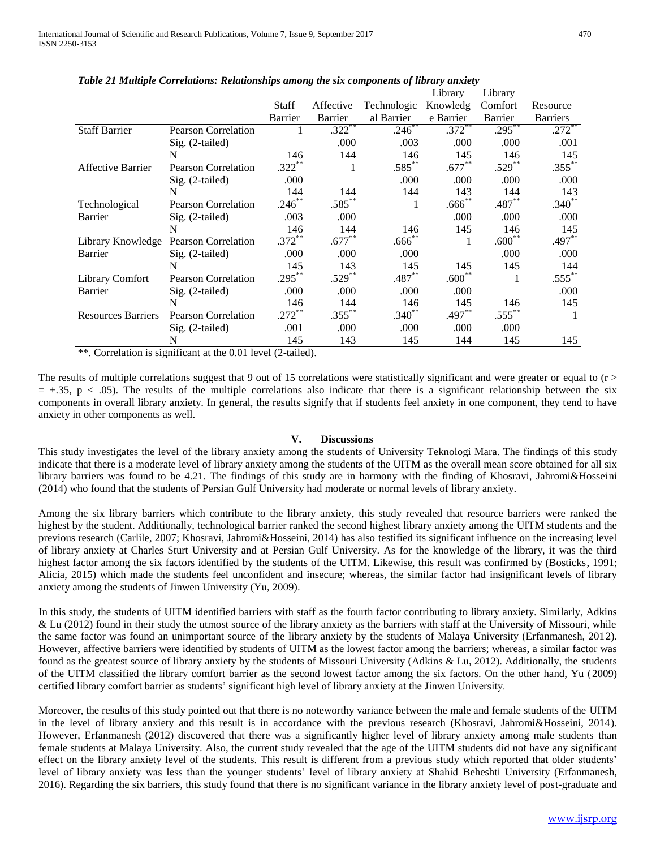|                           |                            |                  |                      |             | Library        | Library   |                 |
|---------------------------|----------------------------|------------------|----------------------|-------------|----------------|-----------|-----------------|
|                           |                            | <b>Staff</b>     | Affective            | Technologic | Knowledg       | Comfort   | Resource        |
|                           |                            | Barrier          | Barrier              | al Barrier  | e Barrier      | Barrier   | <b>Barriers</b> |
| <b>Staff Barrier</b>      | <b>Pearson Correlation</b> |                  | $.322$ **            | $.246***$   | $.372$ **      | $.295***$ | .272            |
|                           | $Sig. (2-tailed)$          |                  | .000                 | .003        | .000           | .000      | .001            |
|                           | N                          | 146              | 144                  | 146         | 145            | 146       | 145             |
| Affective Barrier         | <b>Pearson Correlation</b> | $.322^{\degree}$ |                      | $.585***$   | $.677***$      | $.529***$ | $.355***$       |
|                           | $Sig. (2-tailed)$          | .000             |                      | .000        | .000           | .000      | .000            |
|                           | N                          | 144              | 144                  | 144         | 143            | 144       | 143             |
| Technological             | <b>Pearson Correlation</b> | $.246$ **        | $.585***$            | 1           | $.666^{**}$    | $.487**$  | $.340**$        |
| Barrier                   | $Sig. (2-tailed)$          | .003             | .000                 |             | .000           | .000      | .000            |
|                           | N                          | 146              | 144                  | 146         | 145            | 146       | 145             |
| Library Knowledge         | <b>Pearson Correlation</b> | $.372***$        | $.677***$            | $.666^{**}$ | 1              | $.600**$  | $.497**$        |
| Barrier                   | Sig. (2-tailed)            | .000             | .000                 | .000        |                | .000      | .000            |
|                           | N                          | 145              | 143                  | 145         | 145            | 145       | 144             |
| Library Comfort           | <b>Pearson Correlation</b> | .295             | $.529$ <sup>**</sup> | $.487**$    | $.600^{\circ}$ |           | $.555***$       |
| Barrier                   | $Sig. (2-tailed)$          | .000             | .000                 | .000        | .000           |           | .000            |
|                           | N                          | 146              | 144                  | 146         | 145            | 146       | 145             |
| <b>Resources Barriers</b> | <b>Pearson Correlation</b> | .272`            | $.355***$            | $.340**$    | $.497**$       | $.555***$ |                 |
|                           | Sig. (2-tailed)            | .001             | .000                 | .000        | .000           | .000      |                 |
|                           | N                          | 145              | 143                  | 145         | 144            | 145       | 145             |

*Table 21 Multiple Correlations: Relationships among the six components of library anxiety* 

\*\*. Correlation is significant at the 0.01 level (2-tailed).

The results of multiple correlations suggest that 9 out of 15 correlations were statistically significant and were greater or equal to  $(r >$  $= +0.35$ , p < .05). The results of the multiple correlations also indicate that there is a significant relationship between the six components in overall library anxiety. In general, the results signify that if students feel anxiety in one component, they tend to have anxiety in other components as well.

#### **V. Discussions**

This study investigates the level of the library anxiety among the students of University Teknologi Mara. The findings of this study indicate that there is a moderate level of library anxiety among the students of the UITM as the overall mean score obtained for all six library barriers was found to be 4.21. The findings of this study are in harmony with the finding of Khosravi, Jahromi&Hosseini (2014) who found that the students of Persian Gulf University had moderate or normal levels of library anxiety.

Among the six library barriers which contribute to the library anxiety, this study revealed that resource barriers were ranked the highest by the student. Additionally, technological barrier ranked the second highest library anxiety among the UITM students and the previous research (Carlile, 2007; Khosravi, Jahromi&Hosseini, 2014) has also testified its significant influence on the increasing level of library anxiety at Charles Sturt University and at Persian Gulf University. As for the knowledge of the library, it was the third highest factor among the six factors identified by the students of the UITM. Likewise, this result was confirmed by (Bosticks, 1991; Alicia, 2015) which made the students feel unconfident and insecure; whereas, the similar factor had insignificant levels of library anxiety among the students of Jinwen University (Yu, 2009).

In this study, the students of UITM identified barriers with staff as the fourth factor contributing to library anxiety. Similarly, Adkins & Lu (2012) found in their study the utmost source of the library anxiety as the barriers with staff at the University of Missouri, while the same factor was found an unimportant source of the library anxiety by the students of Malaya University (Erfanmanesh, 2012). However, affective barriers were identified by students of UITM as the lowest factor among the barriers; whereas, a similar factor was found as the greatest source of library anxiety by the students of Missouri University (Adkins & Lu, 2012). Additionally, the students of the UITM classified the library comfort barrier as the second lowest factor among the six factors. On the other hand, Yu (2009) certified library comfort barrier as students' significant high level of library anxiety at the Jinwen University.

Moreover, the results of this study pointed out that there is no noteworthy variance between the male and female students of the UITM in the level of library anxiety and this result is in accordance with the previous research (Khosravi, Jahromi&Hosseini, 2014). However, Erfanmanesh (2012) discovered that there was a significantly higher level of library anxiety among male students than female students at Malaya University. Also, the current study revealed that the age of the UITM students did not have any significant effect on the library anxiety level of the students. This result is different from a previous study which reported that older students' level of library anxiety was less than the younger students' level of library anxiety at Shahid Beheshti University (Erfanmanesh, 2016). Regarding the six barriers, this study found that there is no significant variance in the library anxiety level of post-graduate and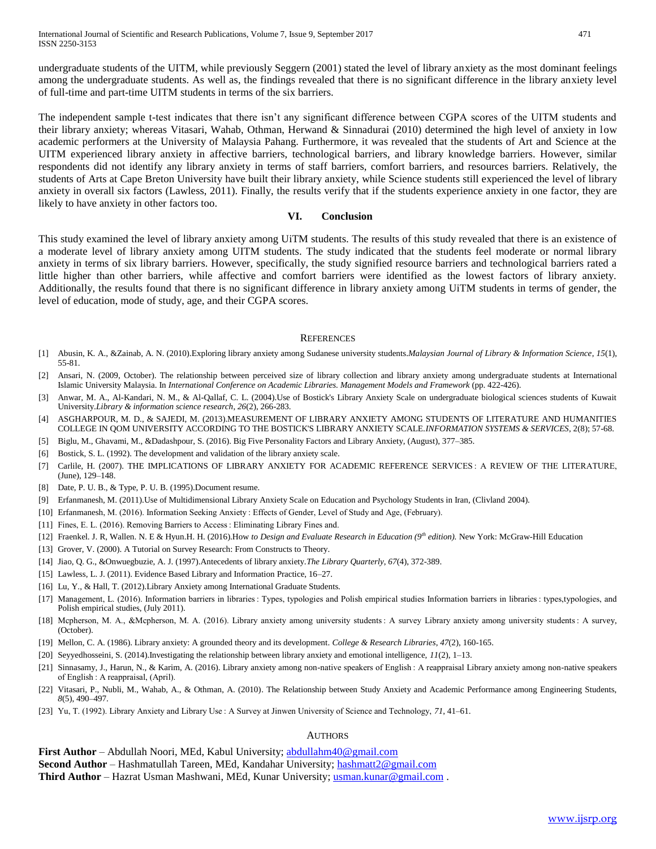undergraduate students of the UITM, while previously Seggern (2001) stated the level of library anxiety as the most dominant feelings among the undergraduate students. As well as, the findings revealed that there is no significant difference in the library anxiety level of full-time and part-time UITM students in terms of the six barriers.

The independent sample t-test indicates that there isn't any significant difference between CGPA scores of the UITM students and their library anxiety; whereas Vitasari, Wahab, Othman, Herwand & Sinnadurai (2010) determined the high level of anxiety in low academic performers at the University of Malaysia Pahang. Furthermore, it was revealed that the students of Art and Science at the UITM experienced library anxiety in affective barriers, technological barriers, and library knowledge barriers. However, similar respondents did not identify any library anxiety in terms of staff barriers, comfort barriers, and resources barriers. Relatively, the students of Arts at Cape Breton University have built their library anxiety, while Science students still experienced the level of library anxiety in overall six factors (Lawless, 2011). Finally, the results verify that if the students experience anxiety in one factor, they are likely to have anxiety in other factors too.

#### **VI. Conclusion**

This study examined the level of library anxiety among UiTM students. The results of this study revealed that there is an existence of a moderate level of library anxiety among UITM students. The study indicated that the students feel moderate or normal library anxiety in terms of six library barriers. However, specifically, the study signified resource barriers and technological barriers rated a little higher than other barriers, while affective and comfort barriers were identified as the lowest factors of library anxiety. Additionally, the results found that there is no significant difference in library anxiety among UiTM students in terms of gender, the level of education, mode of study, age, and their CGPA scores.

#### **REFERENCES**

- [1] Abusin, K. A., &Zainab, A. N. (2010).Exploring library anxiety among Sudanese university students.*Malaysian Journal of Library & Information Science*, *15*(1), 55-81.
- [2] Ansari, N. (2009, October). The relationship between perceived size of library collection and library anxiety among undergraduate students at International Islamic University Malaysia. In *International Conference on Academic Libraries. Management Models and Framework* (pp. 422-426).
- [3] Anwar, M. A., Al-Kandari, N. M., & Al-Qallaf, C. L. (2004).Use of Bostick's Library Anxiety Scale on undergraduate biological sciences students of Kuwait University.*Library & information science research*, *26*(2), 266-283.
- [4] ASGHARPOUR, M. D., & SAJEDI, M. (2013).MEASUREMENT OF LIBRARY ANXIETY AMONG STUDENTS OF LITERATURE AND HUMANITIES COLLEGE IN QOM UNIVERSITY ACCORDING TO THE BOSTICK'S LIBRARY ANXIETY SCALE.*INFORMATION SYSTEMS & SERVICES*, 2(8); 57-68.
- [5] Biglu, M., Ghavami, M., &Dadashpour, S. (2016). Big Five Personality Factors and Library Anxiety, (August), 377–385.
- [6] Bostick, S. L. (1992). The development and validation of the library anxiety scale.
- [7] Carlile, H. (2007). THE IMPLICATIONS OF LIBRARY ANXIETY FOR ACADEMIC REFERENCE SERVICES : A REVIEW OF THE LITERATURE, (June), 129–148.
- [8] Date, P. U. B., & Type, P. U. B. (1995).Document resume.
- [9] Erfanmanesh, M. (2011).Use of Multidimensional Library Anxiety Scale on Education and Psychology Students in Iran, (Clivland 2004).
- [10] Erfanmanesh, M. (2016). Information Seeking Anxiety : Effects of Gender, Level of Study and Age, (February).
- [11] Fines, E. L. (2016). Removing Barriers to Access : Eliminating Library Fines and.
- [12] Fraenkel. J. R, Wallen. N. E & Hyun.H. H. (2016).How *to Design and Evaluate Research in Education (9th edition).* New York: McGraw-Hill Education
- [13] Grover, V. (2000). A Tutorial on Survey Research: From Constructs to Theory.
- [14] Jiao, Q. G., &Onwuegbuzie, A. J. (1997).Antecedents of library anxiety.*The Library Quarterly*, *67*(4), 372-389.
- [15] Lawless, L. J. (2011). Evidence Based Library and Information Practice, 16–27.
- [16] Lu, Y., & Hall, T. (2012). Library Anxiety among International Graduate Students.
- [17] Management, L. (2016). Information barriers in libraries : Types, typologies and Polish empirical studies Information barriers in libraries : types,typologies, and Polish empirical studies, (July 2011).
- [18] Mcpherson, M. A., &Mcpherson, M. A. (2016). Library anxiety among university students : A survey Library anxiety among university students : A survey, (October).
- [19] Mellon, C. A. (1986). Library anxiety: A grounded theory and its development. *College & Research Libraries*, *47*(2), 160-165.
- [20] Seyyedhosseini, S. (2014).Investigating the relationship between library anxiety and emotional intelligence, *11*(2), 1–13.
- [21] Sinnasamy, J., Harun, N., & Karim, A. (2016). Library anxiety among non-native speakers of English : A reappraisal Library anxiety among non-native speakers of English : A reappraisal, (April).
- [22] Vitasari, P., Nubli, M., Wahab, A., & Othman, A. (2010). The Relationship between Study Anxiety and Academic Performance among Engineering Students, *8*(5), 490–497.
- [23] Yu, T. (1992). Library Anxiety and Library Use : A Survey at Jinwen University of Science and Technology, *71*, 41–61.

#### **AUTHORS**

**First Author** – Abdullah Noori, MEd, Kabul University; [abdullahm40@gmail.com](mailto:abdullahm40@gmail.com) **Second Author** – Hashmatullah Tareen, MEd, Kandahar University; [hashmatt2@gmail.com](mailto:hashmatt2@gmail.com) **Third Author** – Hazrat Usman Mashwani, MEd, Kunar University; [usman.kunar@gmail.com](mailto:usman.kunar@gmail.com) .